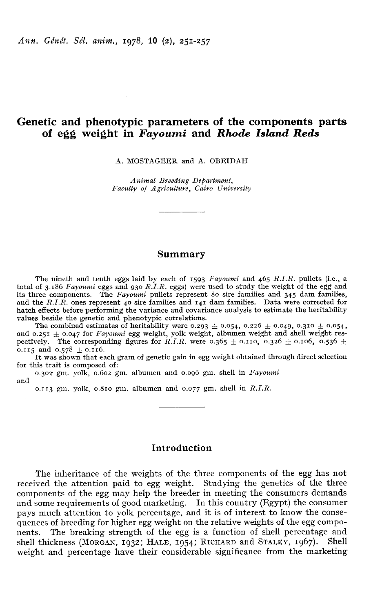# Genetic and phenotypic parameters of the components parts of egg weight in Fayoumi and Rhode Island Reds

A. MOSTAGEER and A. OBEIDAH

Animal Breeding Department, Faculty of Agvicultuve, Cairo Univevsity

### Summary

The nineth and tenth eggs laid by each of  $1593$  Fayoumi and  $465$  R.I.R. pullets (i.e., a total of 3.186 Fayoumi eggs and 930 R.I.R. eggs) were used to study the weight of the egg and fits three components. The *Fayoumi* pullets represent 80 sire families and 345 dam families, and the  $R.I.\overline{R}$ . ones represent 40 sire families and 141 dam families. Data were corrected for hatch effects before performing the variance and covariance analysis to estimate the heritability values beside the genetic and phenotypic correlations.<br>The combined estimates of heritability were  $0.293 \pm 0.054$ ,  $0.226 \$ values beside the genetic and phenotypic correlations.<br>The combined estimates of heritability were 0.293  $\pm$  0.054, 0.226  $\pm$  0.049, 0.310  $\pm$  0.054,

and the R.I.R. ones represent 40 site rainines and 141 dain rainines. Data were corrected for hatch effects before performing the variance and covariance analysis to estimate the heritability values beside the genetic and 0.115 and  $0.578 \pm 0.116$ .

It was shown that each gram of genetic gain in egg weight obtained through direct selection for this trait is composed of:

0.302 gm. yolk, 0.602 gm. albumen and 0.096 gm. shell in Fayoumi and

0.113 gm. yolk, 0.810 gm. albumen and 0.077 gm. shell in  $R.I.R.$ 

## Introduction

The inheritance of the weights of the three components of the egg has not received the attention paid to egg weight. Studying the genetics of the three components of the egg may help the breeder in meeting the consumers demands and some requirements of good marketing. In this country (Egypt) the consumer pays much attention to yolk percentage, and it is of interest to know the consequences of breeding for higher egg weight on the relative weights of the egg components. The breaking strength of the egg is a function of shell percentage and and some requirements of good marketing. In this country (Egypt) the consumer<br>pays much attention to yolk percentage, and it is of interest to know the conse-<br>quences of breeding for higher egg weight on the relative weigh weight and percentage have their considerable significance from the marketing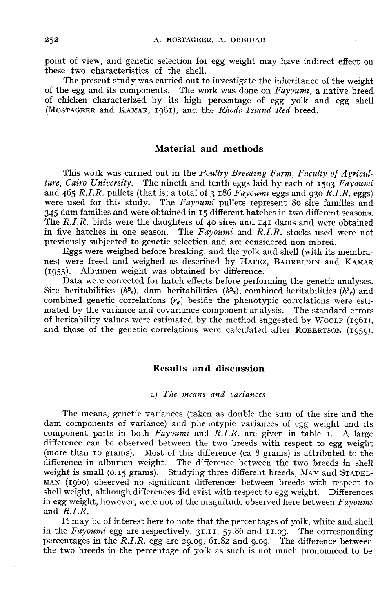point of view, and genetic selection for egg weight may have indirect effect on these two characteristics of the shell.

The present study was carried out to investigate the inheritance of the weight of the egg and its components. The work was done on Fayoumi, a native breed of chicken characterized by its high percentage of egg yolk and egg shell The present study was carried out to investigate the inheritance<br>of the egg and its components. The work was done on *Fayoumi*, a<br>of chicken characterized by its high percentage of egg yolk a<br>(MOSTAGEER and KAMAR, 1961), a

## Material and methods

This work was carried out in the *Poultry Breeding Farm, Faculty of Agriculture, Cairo University*. The nineth and tenth eggs laid by each of 1593 Fayoumi and 465 R.I.R. pullets (that is; a total of 3 186  $Fayoumi$  eggs and 930  $R.1.8$ . eggs) were used for this study. The  $Fayoumi$  pullets represent 80 sire families and <sup>345</sup> dam families and were obtained in z5 different hatches in two different seasons. The R.I.R. birds were the daughters of 40 sires and  $I$ 41 dams and were obtained previously subjected to genetic selection and are considered non inbred.

in five hatches in one season. The Fayoumi and R.I.R. stocks used were not previously subjected to genetic selection and are considered non inbred.<br>Eggs were weighed before breaking, and the yolk and shell (with its membr Eggs were weighed before breaking, and the yolk and shell (with its membra-<br>nes) were freed and weighed as described by HAFEZ, BADRELDIN and KAMAR

(1955). Albumen weight was obtained by difference.<br>Data were corrected for hatch effects before performing the genetic analyses.<br>Sire heritabilities  $(h^2_s)$ , dam heritabilities  $(h^2_a)$ , combined heritabilities  $(h^2_c)$  and Data were corrected for hatch effects before performing the genetic analyses. The *R.I.R.* birds were the daughters of 40 sires and 141 dams and were obtained<br>in five hatches in one season. The *Fayoumi* and *R.I.R.* stocks used were not<br>previously subjected to genetic selection and are considered combined genetic correlations  $(r_q)$  beside the phenotypic correlations were estimated by the variance and covariance component analysis. The standard errors of heritability values were estimated by the method suggested by WOOLF (1961), and those of the genetic correlations were calculated after ROBERTSON (1959).

## Results and discussion

#### a) The means and variances

The means, genetic variances (taken as double the sum of the sire and the dam components of variance) and phenotypic variances of egg weight and its component parts in both  $Fayoumi$  and  $R.I.R.$  are given in table  $I. A$  large difference can be observed between the two breeds with respect to egg weight (more than 10 grams). Most of this difference (ca 8 grams) is attributed to the difference in albumen weight. The difference (ca o grains) is attituded to the<br>difference in albumen weight. The difference between the two breeds in shell<br>weight is small (0.15 grams). Studying three different breeds, MAY shell weight, although differences did exist with respect to egg weight. Differences in egg weight, however, were not of the magnitude observed here between  $Fayoumi$  and  $R.I.R.$ 

It may be of interest here to note that the percentages of yolk, white and shell and  $\overline{R.I.R.}$ <br>It may be of interest here to note that the percentages of yolk, white and shell<br>in the Fayoumi egg are respectively: 31.11, 57.86 and 11.03. The corresponding<br>percentages in the  $\overline{R.I.R.}$  egg are 20.00. It may be of interest here to note that the percentages of yolk, white and shell<br>in the *Fayoumi* egg are respectively:  $3I.II$ ,  $57.86$  and  $I.I.03$ . The corresponding<br>percentages in the *R.I.R.* egg are 29.09, 61.82 and 9 the two breeds in the percentage of yolk as such is not much pronounced to be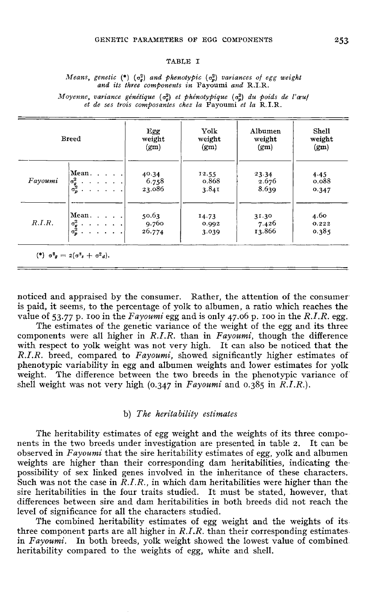#### TABLE I

Means, genetic  $(*)$   $(\sigma_n^2)$  and phenotypic  $(\sigma_n^2)$  variances of egg weight and its three components in Fayoumi and R.I.R.

Moyenne, variance génétique  $(\sigma_a^2)$  et phénotypique  $(\sigma_a^2)$  du poids de l'œuf et de ses trois composantes chez la Favoumi et la R.I.R.

| <b>Breed</b> |                                                                                                                                    | Egg<br>weight<br>(g <sub>m</sub> ) | Yolk<br>weight<br>(g <sub>m</sub> ) | Albumen<br>weight<br>(gm) | <b>Shell</b><br>weight<br>(g <sub>m</sub> ) |
|--------------|------------------------------------------------------------------------------------------------------------------------------------|------------------------------------|-------------------------------------|---------------------------|---------------------------------------------|
| Fayoumi      | Mean. $\ldots$ .<br>$\begin{vmatrix} \sigma_q^2 & \cdots & \cdots & \cdot \\ \sigma_p^2 & \cdots & \cdots & \cdot \end{vmatrix}$   | 40.34<br>6.758<br>23.086           | 12.55<br>0.868<br>3.84I             | 23.34<br>2.676<br>8.639   | 4.45<br>0.088<br>0.347                      |
| R.I.R.       | Mean. $\ldots$ .<br>$\begin{bmatrix} \sigma_g^2 & \ldots & \ldots & \ldots \\ \sigma_p^2 & \ldots & \ldots & \ldots \end{bmatrix}$ | 50.63<br>9.760<br>26.774           | 14.73<br>0.992<br>3.039             | 31.30<br>7.426<br>13.866  | 4.60<br>0.222<br>0.385                      |

noticed and appraised by the consumer. Rather, the attention of the consumeris paid, it seems, to the percentage of yolk to albumen, a ratio which reaches the noticed and appraised by the consumer. Rather, the attention of the consumer<br>is paid, it seems, to the percentage of yolk to albumen, a ratio which reaches the<br>value of 53.77 p. 100 in the Fayoumi egg and is only 47.06 p.

The estimates of the genetic variance of the weight of the egg and its three components were all higher in  $R.I.R.$  than in  $Fayoumi$ , though the difference with respect to yolk weight was not very high. It can also be noticed that the  $R.I.R.$  breed, compared to  $Favourin$ , showed significantly higher estimates of phenotypic variability in egg and albumen weights and lower estimates for yolk weight. The difference between the two breeds in the phenotypic variance of phenotypic variability in egg and albumen weights and lower estimates weight. The difference between the two breeds in the phenotypic vashell weight was not very high (0.347 in *Fayoumi* and 0.385 in *R.I.R.*).

### b) The heritability estimates

The heritability estimates of egg weight and the weights of its three components in the two breeds under investigation are presented in table z. It can be observed in  $Fayoumi$  that the sire heritability estimates of egg, yolk and albumen weights are higher than their corresponding dam heritabilities, indicating thepossibility of sex linked genes involved in the inheritance of these characters.<br>Such was not the case in  $R.I.R.,$  in which dam heritabilities were higher than the observed in *Fayoumi* that the sire heritability estimates of egg, yolk and albumen<br>weights are higher than their corresponding dam heritabilities, indicating the<br>possibility of sex linked genes involved in the inheritanc sire heritabilities in the four traits studied. It must be stated, however, that differences between sire and dam heritabilities in both breeds did not reach the level of significance for all the characters studied.

The combined heritability estimates of egg weight and the weights of itsthree component parts are all higher in  $R.I.R.$  than their corresponding estimates. in Fayoumi. In both breeds, yolk weight showed the lowest value of combined heritability compared to the weights of egg, white and shell.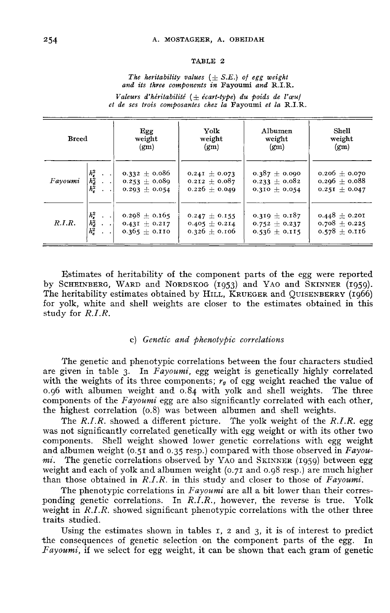#### TABLE 2

The heritability values  $(\pm S.E.)$  of egg weight and its three components in Fayoumi and R.I.R.

Valeurs d'héritabilité  $(\pm \text{ écart-type})$  du poids de l'œuf et de ses trois composantes chez la Favoumi et la R.I.R.

| <b>Breed</b> |                                                      | Egg                                                         | <b>Yolk</b>                                                 | Albumen                                                     | Shell                                                     |
|--------------|------------------------------------------------------|-------------------------------------------------------------|-------------------------------------------------------------|-------------------------------------------------------------|-----------------------------------------------------------|
|              |                                                      | weight                                                      | weight                                                      | weight                                                      | weight                                                    |
|              |                                                      | (gm)                                                        | (g <sub>m</sub> )                                           | (g <sub>m</sub> )                                           | (gm)                                                      |
| Fayoumi      | $\begin{array}{c} h_s^2\\ h_d^2\\ h_c^2 \end{array}$ | $0.332 \pm 0.086$<br>$0.253 \pm 0.089$<br>$0.293 \pm 0.054$ | 0.24I $\pm$ 0.073<br>0.212 $\pm$ 0.087<br>0.226 $\pm$ 0.049 | $0.387 \pm 0.090$<br>$0.233 \pm 0.082$<br>$0.310 \pm 0.054$ | $0.206 \pm 0.070$<br>$0.296 + 0.088$<br>$0.251 \pm 0.047$ |
| R.I.R.       | $h_s^2$                                              | 0.298 $\pm$ 0.165                                           | 0.247 $\pm$ 0.155                                           | 0.319 $\pm$ 0.187                                           | $0.448 \pm 0.201$                                         |
|              | $\frac{\hbar_d^2}{\hbar_c^2}$                        | 0.43I $\pm$ 0.217                                           | $0.405 \pm 0.214$                                           | $0.752 \pm 0.237$                                           | 0.708 $\pm$ 0.225                                         |
|              | $\bullet$ $\bullet$                                  | $0.365 \pm 0.110$                                           | 0.326 $\pm$ 0.106                                           | $0.536 \pm 0.115$                                           | $0.578 \pm 0.116$                                         |

Estimates of heritability of the component parts of the egg were reported Between the component parts of the egg were reported<br>  $h_e^2$  ... 0.365  $\pm$  0.110 0.326  $\pm$  0.106 0.536  $\pm$  0.115 0.578  $\pm$  0.116<br>
Designates of heritability of the component parts of the egg were reported<br>
by SCHEINBE for yolk, white and shell weights are closer to the estimates obtained in this study for R.I.R.

### c) Genetic and phenotypic correlations

The genetic and phenotypic correlations between the four characters studied are given in table 3. In Fayoumi, egg weight is genetically highly correlated with the weights of its three components;  $r_g$  of egg weight reached the value of 0.96 with albumen weight and 0.84 with yolk and shell weights. The three components of the *Eavourni* erg are also significantly correlated components of the Fayoumi egg are also significantly correlated with each other,<br>the highest correlation (0.8) was between albumen and shell weights.<br> $The BID$  abound a different risture. The reils much to the BLB are

The  $R.I.R.$  showed a different picture. The yolk weight of the  $R.I.R.$  egg was not significantly correlated genetically with egg weight or with its other two was not significantly correlated genetically with egg weight of with its other two<br>components. Shell weight showed lower genetic correlations with egg weight<br>and albumen weight (0.51 and 0.35 resp.) compared with those obs components. Shell weight showed lower genetic correlations with egg weight<br>and albumen weight (0.51 and 0.35 resp.) compared with those observed in  $Fayou-  
m<sup>i</sup>$ . The genetic correlations observed by YAO and SKINNER (19 mi. The genetic correlations observed by YAO and SKINNER (1959) between egg<br>weight and each of yolk and albumen weight (0.71 and 0.98 resp.) are much higher<br>than those obtained in RIR in this study and closer to those of than those obtained in  $R.I.R.$  in this study and closer to those of  $Fayoumi$ .

The phenotypic correlations in  $Fayoumi$  are all a bit lower than their corres-<br>ling genetic correlations. In  $R.I.R.$ , however, the reverse is true. Yolk ponding genetic correlations. In  $R.I.R.$ , however, the reverse is true. weight in R.I.R. showed significant phenotypic correlations with the other three traits studied.

Using the estimates shown in tables  $r$ ,  $\alpha$  and  $\beta$ , it is of interest to predict consequences of genetic selection on the component parts of the egg. In the consequences of genetic selection on the component parts of the egg. Fayoumi, if we select for egg weight, it can be shown that each gram of genetic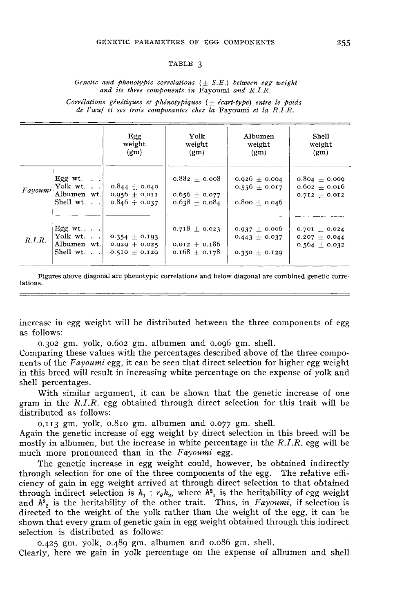#### TABLE 3

#### Genetic and phenotypic correlations  $(\pm S.E.)$  between egg weight and its three components in Fayoumi and R.I.R.

Corrélations génétiques et phénotypiques  $(\pm \text{ écart-type})$  entre le poids de l'œuf et ses trois composantes chez la Fayoumi et la R.I.R.

|         |                                                                                      | Egg<br>weight<br>(g <sub>m</sub> )                        | Yolk<br>weight<br>(g <sub>m</sub> )                       | Albumen<br>weight<br>(gm)                                   | <b>Shell</b><br>weight<br>(gm)                              |
|---------|--------------------------------------------------------------------------------------|-----------------------------------------------------------|-----------------------------------------------------------|-------------------------------------------------------------|-------------------------------------------------------------|
| Fayoumi | Egg wt. $\blacksquare$<br>Yolk wt. $\blacksquare$<br>Albumen wt.<br>Shell wt. $\Box$ | $0.844 \pm 0.040$<br>$0.956 + 0.011$<br>$0.846 + 0.037$   | $0.882 + 0.008$<br>$0.656 \pm 0.077$<br>$0.638 \pm 0.084$ | 0.926 $\pm$ 0.004<br>$0.556 + 0.017$<br>$0.800 \pm 0.046$   | $0.804 \pm 0.009$<br>$0.602 + 0.016$<br>$0.712 + 0.012$     |
| R.I.R.  | Egg wt<br>Yolk wt.<br>Albumen wt.<br>Shell wt.                                       | $0.354 \pm 0.193$<br>0.929 $\pm$ 0.025<br>$0.510 + 0.129$ | $0.718 \pm 0.023$<br>0.012 $\pm$ 0.186<br>$0.168 + 0.178$ | $0.937 \pm 0.006$<br>$0.443 \pm 0.037$<br>$0.350 \pm 0.129$ | 0.701 $\pm$ 0.024<br>$0.207 \pm 0.044$<br>$0.564 \pm 0.032$ |

Figures above diagonal are phenotypic correlations and below diagonal are combined genetic correlations.

increase in egg weight will be distributed between the three components of egg as follows:

0.302 gm. yolk, 0.62 gm. albumen and 0.96 gm. shell.

Comparing these values with the percentages described above of the three components of the  $Fayoumi$  egg, it can be seen that direct selection for higher egg weight in this breed will result in increasing white percentage on the expense of yolk and shell percentages.

With similar argument, it can be shown that the genetic increase of one gram in the R.I.R. egg obtained through direct selection for this trait will be distributed as follows:

 $0.113$  gm. yolk,  $0.810$  gm. albumen and  $0.077$  gm. shell.

Again the genetic increase of egg weight by direct selection in this breed will be o.113 gm. yolk, 0.810 gm. albumen and 0.077 gm. shell.<br>Again the genetic increase of egg weight by direct selection in this breed will be<br>mostly in albumen, but the increase in white percentage in the  $R.I.R.$  egg will be<br>m much more pronounced than in the Fayoumi egg.

The genetic increase in egg weight could, however, be obtained indirectly through selection for one of the three components of the egg. The relative efficiency of gain in egg weight arrived at through direct selection to that obtained through indirect selection is  $h_1$  :  $r_g h_2$ , where  $h_1$  is the heritability of egg weight and  $h^2$ <sub>2</sub> is the heritability of the other trait. Thus, in Fayoumi, if selection is directed to the weight of the yolk rather than the weight of the egg, it can be shown that every gram of genetic gain in egg weight obtained through this indirect selection is distributed as follows:

 $0.425$  gm. yolk,  $0.489$  gm. albumen and  $0.086$  gm. shell.

Clearly, here we gain in yolk percentage on the expense of albumen and shell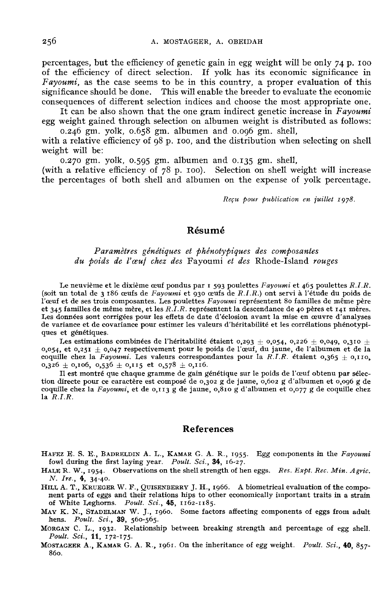percentages, but the efficiency of genetic gain in egg weight will be only 74 p. 100 of the efficiency of direct selection. If yolk has its economic significance in Fayoumi, as the case seems to be in this country, a proper evaluation of this significance should be done. This will enable the breeder to evaluate the economic consequences of different selection indices and choose the most appropriate one.

It can be also shown that the one gram indirect genetic increase in Fayoumi egg weight gained through selection on albumen weight is distributed as follows:

0.246 gm. yolk, 0.658 gm. albumen and 0.096 gm. shell,

with a relative efficiency of  $98$  p. 100, and the distribution when selecting on shell weight will be:

0.270 gm. yolk, 0.595 gm. albumen and 0.135 gm. shell,

(with a relative efficiency of  $78$  p. 100). Selection on shell weight will increase the percentages of both shell and albumen on the expense of yolk percentage.

Reçu pour publication en juillet 1978.

## Résumé

## Paramètres génétiques et phénotypiques des composantes du poids de l'œuf chez des Fayoumi et des Rhode-Island rouges

Le neuvième et le dixième œuf pondus par  $1$  593 poulettes Fayoumi et 465 poulettes  $R.I.R.$ (soit un total de 3 i86 oeufs de Fayoumi et 930 oeufs de R.I.R.) ont servi à l'étude du poids de l'œuf et de ses trois composantes. Les poulettes Fayoumi représentent 80 familles de même père et 345 familles de même mère, et les  $R.\overline{I}.\overline{R}$ . représentent la descendance de 40 pères et 141 mères. Les données sont corrigées pour les effets de date d'éclosion avant la mise en œuvre d'analyses de variance et de covariance pour estimer les valeurs d'héritabilité et les corrélations phénotypi-

Les données sont corrigées pour les effets de date d'éclosion avant la mise en œuvre d'analyses<br>Les données sont corrigées pour les effets de date d'éclosion avant la mise en œuvre d'analyses<br>de variance et de covariance  $0,054$ , et  $0,251 \pm 0,047$  respectivement pour le poids de l'œuf, du jaune, de l'albumen et de la coquille chez la Fayoumi. Les valeurs correspondantes pour la R.I.R. étaient  $0,365 \pm 0,110$ ,  $0,326 \pm 0,106$ ,  $0,536 \pm 0,$ 

Il est montré que chaque gramme de gain génétique sur le poids de l'œuf obtenu par sélection directe pour ce caractère est composé de 0,302 g de jaune, 0,602 g d'albumen et 0,096 g de coquille chez la Fayoumi, et de 0,113 g de jaune, 0,810 g d'albumen et 0,077 g de coquille chez la  $R.I.R.$ 

#### References

- References<br>
HAFEZ E. S. E., BADRELDIN A. L., KAMAR G. A. R., 1955. Egg components in the Fayoumi<br>
fowl during the first laying year. Poult. Sci., 34, 16-27.<br>
HALER W. 1954. Observations on the shell strength of hen eggs. R
- HAFEZ E. S. E., BADRELDIN A. L., KAMAR G. A. R., 1955. Egg components in the *Fayoumi*<br>
fowl during the first laying year. *Poult. Sci.*, 34, 16-27.<br>
HALE R. W., 1954. Observations on the shell strength of hen eggs. *Res.*
- HAFEZ E. S. E., BADRELDIN A. L., KAMAR G. A. R., 1955. Egg components in the Fayoumi<br>fowl during the first laying year. Poult. Sci., **34**, 16-27.<br>H.L.R.R.W., 1954. Observations on the shell strength of hen eggs. Res. Expt. of White I,eghorns. STADELMAN<br>STADELMAN<br>STADELMAN Poult. Sci., lations hi<br>*i*., **45**, 11<br>1960. So<br>: Poult. Sci.,  $\frac{8}{4}$ <br>the shell street<br>BERRY J. H., 1<br> $\frac{1}{45}$ , 1162-1185.<br> $\frac{45}{45}$ , 1162-1185. MILL A. T., KRUEGER W. F., QUISENBERKY J. H., 1900. A biometrical evaluation of the component parts of eggs and their relations hips to other economically important traits in a strain of White Leghorns. Poult. Sci., 45, 11
- MAY K. N., STADELMAN W. J., 1960. Some factors affecting components of eggs from adult
- of White Leghoras. Poult. Sci., 45, 165, 1162-1185.<br>MAY K. N., STADELMAN W. J., 1960. Some factors affecting components of eggs from adult<br>hens. Poult. Sci., 39, 560-565.<br>MORGAN C. L., 1932. Relationship between breaking s Poult. Sci., 11, 172-175.<br>MOSTAGEER A., KAMAR G. A. R., 1961. On the inheritance of egg weight. Poult. Sci., 40, 857-
-